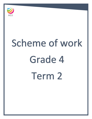

# Scheme of work Grade 4 Term 2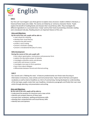

# **Unit 1**

Our first unit 'Just Imagine' uses three genres to explore story structure: modern children's literature, a historical fiction book and a fable. The stories are linked by an 'animal as character theme'. Pupils explore the benefit of reading blurbs and sharpen their visual literacy skills. They investigate the different ingredients in a successful story 'recipe' and try their hand at presenting a dramatic reading and a storyboard role play. Reading aloud is an important feature of this unit.

### **Aims and Objectives:**

## **By the end of the unit, pupils will be able to:**

- read a blurb for meaning
- develop their visual literacy
- sequence key plot events
- predict a story ending
- present a dramatic reading
- present a storyboard/role play of a story.

### **Skills Development**

### **During the course of this unit, pupils will:**

- learn about apostrophes, contractions and possessive form
- explore the descriptive power of adverbs
- investigate unfamiliar works and phrases
- work with verb tenses in stories
- investigate new ways to form questions
- learn more about dialogue
- differentiate between formal and informal writing.

## **Unit 2**

Our second unit is 'Making the news'. It features predominantly non-fiction texts focusing on information in brochures, news articles and instructional texts. Pupils read to find facts and explore vocabulary as well as look at headlines as a form of summarising. Having developed an understanding of the text types, pupils create their own headlines, introductory paragraphs and finally their own news article through planning, oral presentation and writing.

#### **Aims and Objectives:**

- **By the end of the unit, pupils will be able to:**
- understand the purpose of a brochure and a news article
- identify and compare features of these texts
- increase their vocabulary, spelling and dictionary skills
- develop their comprehension and visual literacy skills
- identify facts and opinions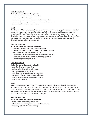#### **Skills Development:**

#### **During the course of this unit, pupils will:**

- read and interpret pictures, words and texts
- identify and order instructions
- summarise information in a brochure and in a news article
- create headlines to engage the reader and summarise an event
- order instructions and events in a story.

## **Unit 3**

Our third unit 'What would you do?' focuses on formal and informal language through the context of true-to-life fiction. Pupils look at different types of informal language and idiomatic speech. Pupils empathise with the different characters and explore how their characters are built up through descriptive detail and dialogue. Pupils practise developing character profiles and develop and perform a play script. Pupils are encouraged to read as writers and notice the vocabulary, sentences and descriptions as part of the writer's toolkit.

### **Aims and Objectives**

### **By the end of the unit, pupils will be able to:**

- understand the different types of informal speech
- appreciate different contexts for formal and informal register
- make predictions about character and plot
- have skimmed to identify significant events and infer meaning
- have explored the link between dialogue and play scripts
- develop and perform a play script.

## **Skills Development**

#### **During the course of this unit, pupils will:**

- extend their range of vocabulary
- explore colloquial and idiomatic speech
- work with degrees of comparison
- extend work on connectives to link sentences
- look at the effect of different sentence lengths
- practise reading aloud and expressing meaning
- practise summarising.

#### **Unit 4**

During our fourth unit, 'Mind Pictures' we focus on creating mind pictures through imagery using different techniques. Pupils are introduced to kennings in both historical and modern contexts and are encouraged to write their own kenning poem focusing on descriptive words, rhyme and rhythm. Pupils use questions and answers in the next poems to develop creative ideas and images. Learners are also introduced to, and revise, specific poetic techniques.

#### **Aims and Objectives**

## **By the end of the unit, pupils will be able to:**

- be exposed to different types of poetry
- differentiate between figurative and literal descriptions
- explore figurative techniques (kennings)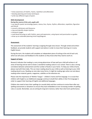- show awareness of rhythm, rhyme, repetition and alliteration
- develop planning and review techniques
- write two different types of poem.

## **Skills Development**

#### **During the course of this unit, pupils will:**

• use specific poetic terminology (poem, stanza, line, rhyme, rhythm, alliteration, repetition, figurative and literal)

- consult a dictionary and thesaurus
- clap and identify simple rhythms
- interpret images
- read aloud focusing on with rhythm, pace and expression, using layout and punctuation as guides
- draw up an extended planning mind map/diagram.

### **Assessment:**

The assessment of the students' learning is ongoing through every lesson. Through verbal and written feedback, we provide students with support and advice in order to move their learning on in every English lesson.

During the term, the students will complete an independent piece of writing at the end of each unit, which we will assess and feedback to the students so they know what they need to work on.

### **Support at home:**

Research indicates that reading is a very strong determiner of how well your child will achieve in all areas of learning and we wish to foster a wonderful reading culture in our school. There is also a strong correlation between achievement and the number of books in your home. To help your child at home, please read with them daily. This can mean reading aloud to your child as well as listening to your child reading aloud to you. Reading can also take many forms; it might be reading signs when out and about, reading online material, games, magazines, subtitles on the television etc.

Please note the importance of 'Mother Tongue' – children's home and first language. It is crucial that children with English as an Additional Language continue to build their ability in their first language in order to support their learning of English and additional languages.

Children also need to learn their spellings (or sounds) daily and then continue to revise them after any spelling assessments or dictations to ensure they have embedded an ever increasing number of spelling rules or sounds. Remember, we are aiming for long term memory rather than short term performance.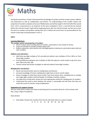

During the second term, Grade 4 will extend their knowledge of numbers and the number system, addition and subtraction as well as multiplication and division. An understanding of the number system and properties of numbers underpins all areas of Mathematics and will be taught in the first half of the second term. Unit 3, measurement is an extension of the work completed in term 1, and will also be covered before the mid-term break. Pupils will be taught geometry after the mid-term break, and we aim to start the work on numbers and problem solving from term 3 before the end of term to accommodate for the shorter school days during Ramadan in term 3.

## **Unit 1**

### **Learning Objectives:**

### **The number system and properties of numbers**

- Work on place value including decimal numbers, particularly in the context of money.
- Count on and back to include numbers below zero.
- Explore sequences, solve puzzles and investigate general statements, particularly about odd and even numbers.

#### **Addition and subtraction**:

- Add three two-digit multipes of 10, and add and subtract near-multiples of 10 or 100 to or from three-digit numbers.
- Find the difference between near-multiples of 100 and subtract a small number to go from more than 100 to less than 100.
- Choose mental and written strategies to add and subtract three-digit numbers.

## **Multiplication and division**:

- Revise and extend earlier work on multiplication and division.
- Increase knowledge of known multiplication table facts to the  $6\times$  and  $9\times$  tables.
- Devise strategies to help them derive further facts from known facts, including how to multiply two single-digit numbers and find doubles of multiples of whole numbers.
- Use table facts to help them choose the most appropriate method for dividing pairs of numbers.
- Understand the need to check whether the answer is reasonable and will know that they can check the result of a division using multiplication.

## **Suggestions for support at home**

Ask your child which number facts they are learning and try to practise these for a few minutes each day, using a range of vocabulary.

## *Dicey division*

Each player chooses five numbers from the list and writes them on a piece of paper.

6 8 9 12 15 18 20 24 30 40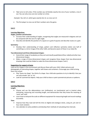Take turns to roll a dice. If the number you roll divides exactly into one of your numbers, cross it out. You can only cross out one number at a time.

*Example: You roll a 3, which goes exactly into 12, so cross out 12.*

The first player to cross out all their numbers wins the game.

## **Unit 2**

### **Learning Objectives:**

### **Angles, position and direction**:

- Increase their understanding of angles, recognising that angles are measured in degrees and can be compared with the size of a right angle.
- Describe and identify the position of a square on a grid of squares and describe routes on a grid.

#### **Symmetry**:

 Develop their understanding of shape, pattern and reflective symmetry (when one half of something is a mirror image of the other half), and become aware of these in our daily life.

### **Two-dimensional and three-dimensional shapes:**

- Extend their range of vocabulary as they sort and classify quadrilateral (four-sided) and other twodimensional shapes.
- Make a range of three-dimensional shapes and recognise these shapes from two-dimensional drawings that could be folded to make the three-dimensional shapes ('nets').

## **Suggestions for support at home**

Look out for shapes in the environment and discuss these with your child. Collect pictures and photographs of interesting shapes, together with boxes and containers. Encourage your child to bring them into school.

- Play 'Guess my shape'. You think of a shape. Your child asks questions to try to identify it but you can only answer 'yes' or 'no'.
- Look for symmetrical objects. Help your child to draw or paint symmetrical pictures or patterns.

## **Unit 3**

## **Learning Objectives:**

**Length:**

- Choose and use the abbreviations mm (millimetre), cm (centimetre) and m (metre) when estimating, measuring and recording length, and demonstrate that they know the meaning of 'centi' and 'milli'.
- Learn how to interpret the scale on different equipment for measuring length and record readings accurately.

**Time**:

- Improve how they read and tell the time on digital and analogue clocks, using am, pm and 12hour clock notation.
- Use calendars to solve problems and develop their methods of calculating time intervals.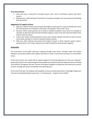#### **Area and perimeter**:

- Learn that area is measured in standard square units, such as centimetre squares and metre squares.
- Develop their understanding of perimeter by drawing rectangles and measuring and calculating their perimeters.

## **Suggestions for support at home**

- Help your child to measure and compare the heights of each person in your household and record the measurements in centimetres and metres, for example, 156 cm and 1.56 m.
- Ask your child to make practical use of clocks or watches available in your home, for example to calculate at what time food will have finished cooking, or how much time they have before they need to leave for school.
- Involve your child in writing important entries onto a family calendar. Ask them to work out how many weeks and days it is until an important family occasion.
- With your child, estimate and measure the length of wood, or other material, used to make a window frame in your home. Measure each side and add the measurements together.

### **Assessment**

The assessment of the pupils' learning is ongoing through every lesson. Through verbal and written feedback, we provide students with support and advice in order to move their learning on in every Maths lesson.

At the end of every unit, pupils will be assessed against the learning objectives for that unit. However, pupils will continue to be assessed against these objectives and particularly the objectives they are finding more difficult, throughout the year. Parents will be given feedback on objectives that need more practice at home, through the parent consultation and reporting cycle.

At the end of the year, the students will complete curriculum based assessments: Cambridge Progression Test and a standardized based assessment – GL Assessments – Progress Test in Maths.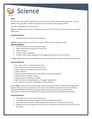

# **Unit 1**

The first unit, which will be taught over the first half term is called 'Solids, liquids and gases'. This unit teaches the pupils about matter and particles and how solids, liquids and gases differ.

The unit is separated into six topic areas.

**Topic 1** introduces the fact that everything around us is formed of 'matter' and that matter can be solid, liquid or gas.

## **Learning objectives**

• Know that matter can be solid, liquid or gas.

**Topic 2** introduces learners to the idea of using a model to explain things in science. **Learning objectives**

- Know that matter can be solid, liquid or gas.
- Make relevant observations and comparisons.
- Collect evidence.
- Present results in drawings.
- Identify simple trends and patterns and suggest explanations for some of these.

In **Topic 3** pupils observe and investigate how solids, liquids and gases behave, using everyday materials.

## **Learning objectives**

- $\notin$  Know that matter can be solid, liquid or gas.
- $\notin$  Make relevant observations and comparisons.
- $\notin$  Choose apparatus and decide what to measure.
- $\notin$  Collect evidence.
- $\notin$  Explain what the evidence shows and whether it supports predictions.
- $\notin$  Communicate this clearly to others.
- $\notin$  Present results in drawings and tables.
- $\notin$  Identify simple trends and patterns and suggest explanations.
- $\notin$  Link evidence to scientific knowledge and understanding.

During **Topic 4**, pupils will be introduced the concept of phases of matter. Pupils will investigate what happens when you heat a substance or cool it down. They will be introduced to the terms melting, freezing and boiling to describe what happens during these phase changes. Pupils will make observations and teachers will help them to explain what they observe using the particle model.

## **Learning objectives**

- Know that matter can be solid, liquid or gas.
- Investigate how materials change when they are heated and cooled.
- Know that melting is when a solid changes into a liquid and is the reverse of freezing.
- Observe how water changes into steam when it is heated but on cooling, the steam turns back into water.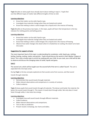**Topic 5** builds on what pupils have already learnt about melting in topic 4. Pupils find out that different types of matter take different lengths of time to melt.

## **Learning objectives**

- Know that matter can be solid, liquid or gas.
- Investigate how materials change when they are heated and cooled.
- Know that melting is when a solid changes into a liquid and is the reverse of freezing.

**Topic 6** builds on the previous two topics. In this topic, pupils will learn that temperature is the key indicator for melting points and boiling points.

#### **Learning objectives**

- Know that matter can be solid, liquid or gas.
- Investigate how materials change when they are heated and cooled.
- Know that melting is when a solid changes into a liquid and is the reverse of freezing.
- Observe how water changes into steam when it is heated but on cooling, the steam turns back into water.

#### **Suggestions for support at home**

The most important facet of this topic is understanding the vocabulary: solid, liquid, gas, melting, boiling, heating, cooling, matter and particle. Pupils should discuss the words in their Mother Tongue at home. This is also a lovely topic to enrich by cooking with your child. As you cook, your child will be able to observe and discuss the changing states of solids, liquids and gases.

#### **Unit 2**

The second unit, which will be taught over the second half of the term is called 'Sound'. The unit is separated into nine topic areas.

During **Topic 1**, the key concepts explored are that sounds come from sources, and that sound

travels through materials.

#### **Learning objectives**

- Demonstrate that sound travels through materials.
- Make relevant observations and comparisons in a variety of contexts.
- Collect evidence.

**Topic 2** shows pupils that sound travels through all materials. The denser and harder the material, the better the sound travels through it. This means it travels best through solids. Not only does it travel faster through solids, it also loses less energy.

#### **Learning objectives**

- Investigate how well sound travels through different materials.
- Collect evidence.
- Make relevant observations and comparisons.
- Test an idea or prediction.
- Present results in drawings, bar charts and tables.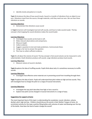• Identify trends and patterns in results.

**Topic 3** introduces the idea of how sound travels. Sound is a transfer of vibrations from an object to our ears. Vibrations travel from the source, through materials, until they reach our ears. We can hear these vibrations as sounds.

#### **Learning objectives**

Demonstrate that vibrations cause sound

In **Topic 4**, learners will investigate loud and soft sounds, and how to make sounds louder. The key concept is that trapping the sound vibrations makes the sound louder.

### **Learning Objectives**

- Investigate how sounds can be loud or soft.
- Make relevant observations and comparisons.
- Measure length.
- Collect evidence.
- Suggest a question to test and make predictions. Communicate these.
- Design a fair test to answer the question.
- Plan how to collect sufficient evidence.

**Topic 5** is all about the volume of sound. The key concept is that sound volume can be measured in units called decibels. Small vibrations produce soft sounds. Large vibrations produce loud sounds.

#### **Learning Objectives**

Measure volume of sound in decibels.

**Topic 6** explores the idea of muffling sounds. Pupils think about why it is sometimes necessary to muffle sounds.

#### **Learning Objectives**

• Investigate how effective some materials are in preventing sound from travelling through them.

**Topic 7** explores the idea of pitch. Pupils will understand that pitch relates to high and low sounds. They will investigate how to change the pitch on a range of musical instruments.

#### **Learning Objectives**

- Investigate the way pitch describes how high or low a sound is.
- Explore how pitch can be changed in musical instruments in a range of ways.

#### **Suggestions for support at home**

The most important facet of this topic is understanding the vocabulary: sound, vibration, volume, decibel, pitch, high and low. Children should discuss the words in their Mother Tongue at home. An enrichment activity for this topic could be filling bottles with volumes of water and blowing over the top of the bottle. How does the level of water change the sound?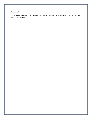# **Assessment**

The pupils will complete a unit assessment at the end of each unit, which will assess the pupils learning against the objectives.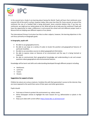

In the second term, Grade 4 are learning about Saving the World. Pupils will learn that rainforests once covered 14% of the earth's surface, however today, they cover less than 5%. Every second, an area of the rainforest the size of a football field is being destroyed. Some scientists believe that, if we lose our rainforests, we might put our whole planet at risk. What will we do to help save the rainforest? Pupils will have the opportunity to make a difference in and around the school and visit different project work in Muscat that are helping save different aspects of our planet.

The International Primary Curriculum has links to other subjects, however, the learning objectives in this unit focus primarily on Geography goals.

### **In Geography, pupils will:**

- Be able to use geographical terms.
- Be able to use maps at a variety of scales to locate the position and geographical features of particular localities.
- Be able to use secondary sources to obtain geographical information.
- Be able to express views on features of an environment and the way it is being harmed or improved.
- Be able to communicate their geographical knowledge and understanding to ask and answer questions about geographical and environmental features.

Knowledge will be learnt and skills and understanding developed through different projects including:

- Rainforests
- Land Use
- Coasts
- Oceans

#### **Suggestions for support at home**

Children by nature are curious creatures. Combine this with their generation's access to the internet, they are more exposed to the world than some of their peers and other generations.

Pupils should:

- Find ways at home to protect the environment e.g. reduce waste.
- Write newspaper articles to highlight the main reasons for e.g. deforestation or plastic in the oceans.
- Keep up to date with current affairs<https://www.bbc.co.uk/newsround>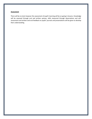#### **Assessment**

There will be no tests however the assessment of pupil's learning will be on-going in lessons. Knowledge will be assessed through oral and written quizzes, skills measured through observations and selfassessment and written and oral feedback on pupils' journals and presentations will be given to develop their understanding.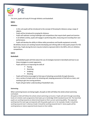

This term, pupils will study PE through Athletics and basketball.

# **Unit 1**

## **Athletics:**

- In this unit pupils will be introduced to the concept of throwing for distance using a range of objects.
- Pupils will be introduced to jumping for distance.
- Pupils will replicate running challenges and competitions that require both speed and stamina.
- In all athletic activity, pupils will engage in performing skills, measuring and recording their own performance.

Pupils will develop the ability to follow safety procedures and handle equipment correctly. All athletics lessons are working towards developing and refining skills to help pupils prepare for KS2 Sports day. Pupils during this term may be invited to represent AGS in the MPSL u9 & u11 Athletics competitions.

# **Unit 2**

# **Basketball:**

- In basketball pupils will think about the use of strategies learned in benchball and how to use these strategies to outwit opponents.
- Pupils will focus on improving the skills of
	- **Passing**
	- **Receiving**
	- Dribbling
	- **Shooting**
- Pupils will find be encouraged to find ways of attacking successfully through discovery.
- Use a variety of simple tactics for attacking well, keeping possession of the ball as a team, and working to get into scoring positions.
- Pupils will gain better understanding of basketball rules.

## **Swimming:**

When swimming lessons are being taught, all pupils at AGS will follow the whole school swimming curriculum.

All pupils at AGS will follow the whole school swimming curriculum. Pupils will work through ascending levels of a holistic swim programme that leads up to Cambridge iGCSE standard (Level 10). The level that pupils are working towards are determined based on their current swimming ability. The expected working level for each age corresponds with the grade pupils are in, for example, Grade 1 should be working towards level 1 whereas Grade 5 should be working towards level 5. Some pupils will be working below or above expected levels based on their ability.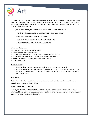

This term the pupils of grade 4 will commence a new IPC Topic, 'Saving the World'. They will focus on a variety of examples of rainforest art. These can be by indigenous artists, and also artists from the host and home countries. They will start by looking at examples of Henri Rousseau's art - Exotic Landscape, 1910 and The Flamingoes, 1907.

The pupils will try to identify the techniques Rousseau used in his art, for example:

-Each leaf is clearly outlined in charcoal and is then filled in with colour

-Objects are drawn out of scale with each other

-Animals and people are drawn with a simplified anatomy

-A silhouette effect is often used in the background

#### **Aims and Objectives:**

**By the end of the unit, pupils will be able to:**

- Use art as a means of self-expression.
- Choose materials and techniques which are appropriate for their task.
- Explain their own work in terms of what they have done and why.
- Talk about works of art, giving reasons for their opinions.
- to create a poster.

#### **Research activity**

- Pupils will be asked to create a poster explaining how we can save the earth.
- Pupils will be asked to choose one of Rousseau's artwork and to try to replicate his technique using paints, pastels, pencils, charcoal or chalks to draw a rainforest plant, flower or animal in their sketchbooks.

#### **Assessment:**

Pupils will be asked to create their own rainforest landscapes in a similar style to one of the chosen artists from the host or home countries.

#### **Suggestions for support at home:**

To help your child enrich their artistic lives at home, parents can support by creating more artistic activities with their child and encourage them to practice more on the lesson we have covered in class in order to maximise the quality of their skills.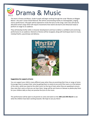

This term in Drama and Music, Grade 4 pupils will begin working through the script 'Mystery at Magpie Manor', this year's Junior School Musical. We will be concentrating mainly on choreography, singing, chorus performance. All pupils will be expected to recite the lyrics to the songs. Each class will also be allocated certain songs which will require movements that need to be learnt and rehearsed ready to perform on stage to an audience.

They will develop further skills in character development and how to deliver a confident and convincing performance to an audience. Elements of drama will be recapped, along with techniques learnt in music, melody/rhythm, pace/tempo and delivery.



#### **Suggestions for support at home**

You can support your child in many different ways when they are practising their lines or songs at home. Encourage them to project their voice by getting them to stand at one end of the room or at the bottom of the stairs, whilst you stand at the other end or at the top of stairs when they are speaking to ensure they raise their voice so that you can hear them. Songs will be sent home on Seesaw so please play them for your children daily so they can practise the lyrics to the music.

This performance will be open to all parents to come and watch on the **18th and 19th March** to see what the children have been working towards. We hope to see you there!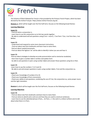

The Scheme of Work followed for French is that provided by the Primary French Project, which has been devised by the Institut Français https://www.institut-francais.org.uk/ .

**Module 3**, which will be taught over the first half-term, focuses on the following broad themes:

#### **Learning Objectives**

### **Leçon 11:**

- Find out what a conjunction is.
- Learn how to use the conjunction ou to link two words together.

- Be able to understand and ask questions using (C'est + noun?), C'est Paris ? Oui, c'est Paris Non, c'est Belfast.

#### **Leçon 12:**

- Understand and respond to some more classroom instructions.
- Find out about new Paris landmarks and learn how to name them.
- find out about vowels/consonants.
- Find out about the ligature 'oe' and be able to identify it when you see and hear it.

### **Leçon 13:**

-find out about strategies to develop accurate pronunciation and to memorise vocabulary

- learn how to give a number label in written and spoken form
- be able to ask questions in pairs using number labels and answer those questions using Oui or Non.

#### **Leçon 14:**

-Learn how to say the numbers 7, 8, 9 and 10.

- Be able to ask and answer questions in pairs using number labels, C'est and the conjunction ou.

#### **Leçon 15:**

- Check your knowledge of numbers 0 to 10.
- Check your knowledge of Paris monuments.

- Check your ability to ask questions, combining the use of C'est, the conjunction ou, some proper nouns and the right intonation.

**Module 4**, which will be taught over the first half-term, focuses on the following broad themes:

#### **Learning Objectives**

#### **Leçon 16:**

- Find out about new Paris landmarks and learn how to name them.

- Find out what an adverb and a verb are and how they are used to construct sentences.

- Learn how to use the adverbial phrase à Paris,… (in Paris…) + the verb il y a (there is/there are) to talk about what there is in Paris.